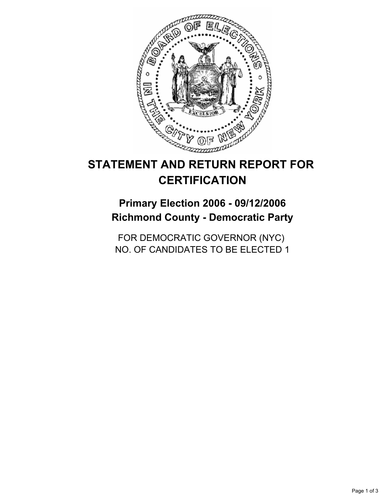

# **STATEMENT AND RETURN REPORT FOR CERTIFICATION**

**Primary Election 2006 - 09/12/2006 Richmond County - Democratic Party**

FOR DEMOCRATIC GOVERNOR (NYC) NO. OF CANDIDATES TO BE ELECTED 1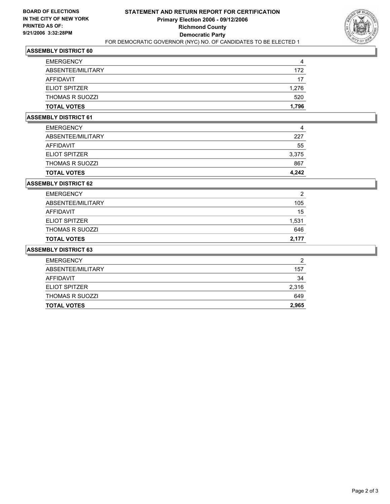

### **ASSEMBLY DISTRICT 60**

| <b>EMERGENCY</b>       |       |
|------------------------|-------|
| ABSENTEE/MILITARY      | 172   |
| AFFIDAVIT              | 17    |
| ELIOT SPITZER          | 1,276 |
| <b>THOMAS R SUOZZI</b> | 520   |
| <b>TOTAL VOTES</b>     | 1,796 |

#### **ASSEMBLY DISTRICT 61**

| <b>TOTAL VOTES</b>     | 4.242 |
|------------------------|-------|
| <b>THOMAS R SUOZZI</b> | 867   |
| <b>ELIOT SPITZER</b>   | 3,375 |
| AFFIDAVIT              | 55    |
| ABSENTEE/MILITARY      | 227   |
| <b>EMERGENCY</b>       | 4     |

#### **ASSEMBLY DISTRICT 62**

| <b>TOTAL VOTES</b>     | 2.177 |
|------------------------|-------|
| <b>THOMAS R SUOZZI</b> | 646   |
| <b>ELIOT SPITZER</b>   | 1,531 |
| AFFIDAVIT              | 15    |
| ABSENTEE/MILITARY      | 105   |
| <b>EMERGENCY</b>       | 2     |

#### **ASSEMBLY DISTRICT 63**

| ≘     |
|-------|
| 157   |
| 34    |
| 2,316 |
| 649   |
| 2,965 |
|       |